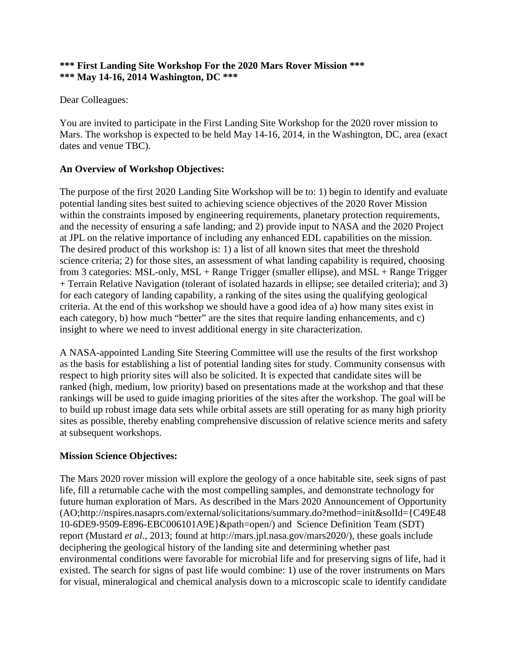### **\*\*\* First Landing Site Workshop For the 2020 Mars Rover Mission \*\*\* \*\*\* May 14-16, 2014 Washington, DC \*\*\***

## Dear Colleagues:

You are invited to participate in the First Landing Site Workshop for the 2020 rover mission to Mars. The workshop is expected to be held May 14-16, 2014, in the Washington, DC, area (exact dates and venue TBC).

## **An Overview of Workshop Objectives:**

The purpose of the first 2020 Landing Site Workshop will be to: 1) begin to identify and evaluate potential landing sites best suited to achieving science objectives of the 2020 Rover Mission within the constraints imposed by engineering requirements, planetary protection requirements, and the necessity of ensuring a safe landing; and 2) provide input to NASA and the 2020 Project at JPL on the relative importance of including any enhanced EDL capabilities on the mission. The desired product of this workshop is: 1) a list of all known sites that meet the threshold science criteria; 2) for those sites, an assessment of what landing capability is required, choosing from 3 categories: MSL-only, MSL + Range Trigger (smaller ellipse), and MSL + Range Trigger + Terrain Relative Navigation (tolerant of isolated hazards in ellipse; see detailed criteria); and 3) for each category of landing capability, a ranking of the sites using the qualifying geological criteria. At the end of this workshop we should have a good idea of a) how many sites exist in each category, b) how much "better" are the sites that require landing enhancements, and c) insight to where we need to invest additional energy in site characterization.

A NASA-appointed Landing Site Steering Committee will use the results of the first workshop as the basis for establishing a list of potential landing sites for study. Community consensus with respect to high priority sites will also be solicited. It is expected that candidate sites will be ranked (high, medium, low priority) based on presentations made at the workshop and that these rankings will be used to guide imaging priorities of the sites after the workshop. The goal will be to build up robust image data sets while orbital assets are still operating for as many high priority sites as possible, thereby enabling comprehensive discussion of relative science merits and safety at subsequent workshops.

## **Mission Science Objectives:**

The Mars 2020 rover mission will explore the geology of a once habitable site, seek signs of past life, fill a returnable cache with the most compelling samples, and demonstrate technology for future human exploration of Mars. As described in the Mars 2020 Announcement of Opportunity [\(AO;http://nspires.nasaprs.com/external/solicitations/summary.do?method=init&solId={C49E48](http://nspires.nasaprs.com/external/solicitations/summary.do?method=init&solId={C49E48) 10-6DE9-9509-E896-EBC006101A9E}&path=open/) and Science Definition Team (SDT) report (Mustard *et al.,* [2013; found at http://mars.jpl.nasa.gov/mars2020/\), these goals include](http://mars.jpl.nasa.gov/mars2020/),)  deciphering the geological history of the landing site and determining whether past environmental conditions were favorable for microbial life and for preserving signs of life, had it existed. The search for signs of past life would combine: 1) use of the rover instruments on Mars for visual, mineralogical and chemical analysis down to a microscopic scale to identify candidate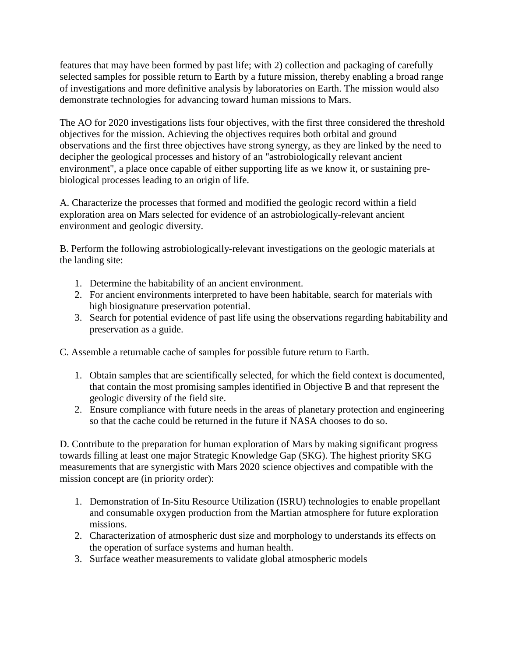features that may have been formed by past life; with 2) collection and packaging of carefully selected samples for possible return to Earth by a future mission, thereby enabling a broad range of investigations and more definitive analysis by laboratories on Earth. The mission would also demonstrate technologies for advancing toward human missions to Mars.

The AO for 2020 investigations lists four objectives, with the first three considered the threshold objectives for the mission. Achieving the objectives requires both orbital and ground observations and the first three objectives have strong synergy, as they are linked by the need to decipher the geological processes and history of an "astrobiologically relevant ancient environment", a place once capable of either supporting life as we know it, or sustaining prebiological processes leading to an origin of life.

A. Characterize the processes that formed and modified the geologic record within a field exploration area on Mars selected for evidence of an astrobiologically-relevant ancient environment and geologic diversity.

B. Perform the following astrobiologically-relevant investigations on the geologic materials at the landing site:

- 1. Determine the habitability of an ancient environment.
- 2. For ancient environments interpreted to have been habitable, search for materials with high biosignature preservation potential.
- 3. Search for potential evidence of past life using the observations regarding habitability and preservation as a guide.

C. Assemble a returnable cache of samples for possible future return to Earth.

- 1. Obtain samples that are scientifically selected, for which the field context is documented, that contain the most promising samples identified in Objective B and that represent the geologic diversity of the field site.
- 2. Ensure compliance with future needs in the areas of planetary protection and engineering so that the cache could be returned in the future if NASA chooses to do so.

D. Contribute to the preparation for human exploration of Mars by making significant progress towards filling at least one major Strategic Knowledge Gap (SKG). The highest priority SKG measurements that are synergistic with Mars 2020 science objectives and compatible with the mission concept are (in priority order):

- 1. Demonstration of In-Situ Resource Utilization (ISRU) technologies to enable propellant and consumable oxygen production from the Martian atmosphere for future exploration missions.
- 2. Characterization of atmospheric dust size and morphology to understands its effects on the operation of surface systems and human health.
- 3. Surface weather measurements to validate global atmospheric models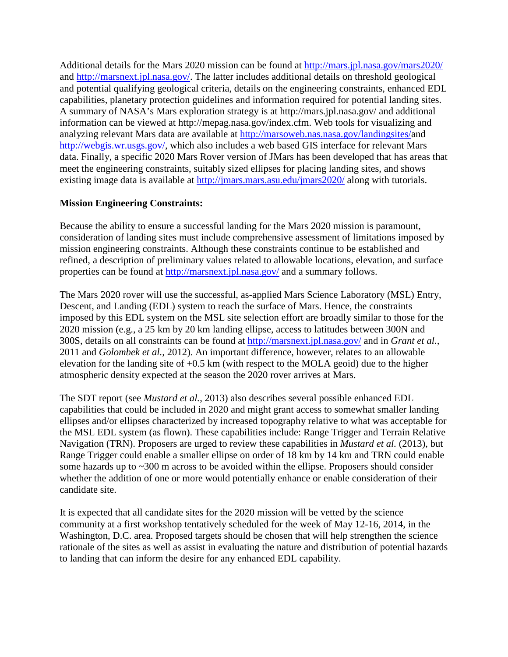Additional details for the Mars 2020 mission can be found at <http://mars.jpl.nasa.gov/mars2020/> and<http://marsnext.jpl.nasa.gov/>. The latter includes additional details on threshold geological and potential qualifying geological criteria, details on the engineering constraints, enhanced EDL capabilities, planetary protection guidelines and information required for potential landing sites. [A summary of NASA's Mars exploration strategy is at http://mars.jpl.nasa.gov/ and additional](http://mars.jpl.nasa.gov/)  [information can be viewed at http://mepag.nasa.gov/index.cfm. Web tools for visualizing and](http://mepag.nasa.gov/index.cfm.)  analyzing relevant Mars data are available at [http://marsoweb.nas.nasa.gov/landingsites/a](http://marsoweb.nas.nasa.gov/landingsites/)nd <http://webgis.wr.usgs.gov/>, which also includes a web based GIS interface for relevant Mars data. Finally, a specific 2020 Mars Rover version of JMars has been developed that has areas that meet the engineering constraints, suitably sized ellipses for placing landing sites, and shows existing image data is available at<http://jmars.mars.asu.edu/jmars2020/>along with tutorials.

# **Mission Engineering Constraints:**

Because the ability to ensure a successful landing for the Mars 2020 mission is paramount, consideration of landing sites must include comprehensive assessment of limitations imposed by mission engineering constraints. Although these constraints continue to be established and refined, a description of preliminary values related to allowable locations, elevation, and surface properties can be found at <http://marsnext.jpl.nasa.gov/>and a summary follows.

The Mars 2020 rover will use the successful, as-applied Mars Science Laboratory (MSL) Entry, Descent, and Landing (EDL) system to reach the surface of Mars. Hence, the constraints imposed by this EDL system on the MSL site selection effort are broadly similar to those for the 2020 mission (e.g., a 25 km by 20 km landing ellipse, access to latitudes between 300N and 300S, details on all constraints can be found at <http://marsnext.jpl.nasa.gov/>and in *Grant et al.,* 2011 and *Golombek et al.,* 2012). An important difference, however, relates to an allowable elevation for the landing site of +0.5 km (with respect to the MOLA geoid) due to the higher atmospheric density expected at the season the 2020 rover arrives at Mars.

The SDT report (see *Mustard et al.*, 2013) also describes several possible enhanced EDL capabilities that could be included in 2020 and might grant access to somewhat smaller landing ellipses and/or ellipses characterized by increased topography relative to what was acceptable for the MSL EDL system (as flown). These capabilities include: Range Trigger and Terrain Relative Navigation (TRN). Proposers are urged to review these capabilities in *Mustard et al.* (2013), but Range Trigger could enable a smaller ellipse on order of 18 km by 14 km and TRN could enable some hazards up to ~300 m across to be avoided within the ellipse. Proposers should consider whether the addition of one or more would potentially enhance or enable consideration of their candidate site.

It is expected that all candidate sites for the 2020 mission will be vetted by the science community at a first workshop tentatively scheduled for the week of May 12-16, 2014, in the Washington, D.C. area. Proposed targets should be chosen that will help strengthen the science rationale of the sites as well as assist in evaluating the nature and distribution of potential hazards to landing that can inform the desire for any enhanced EDL capability.